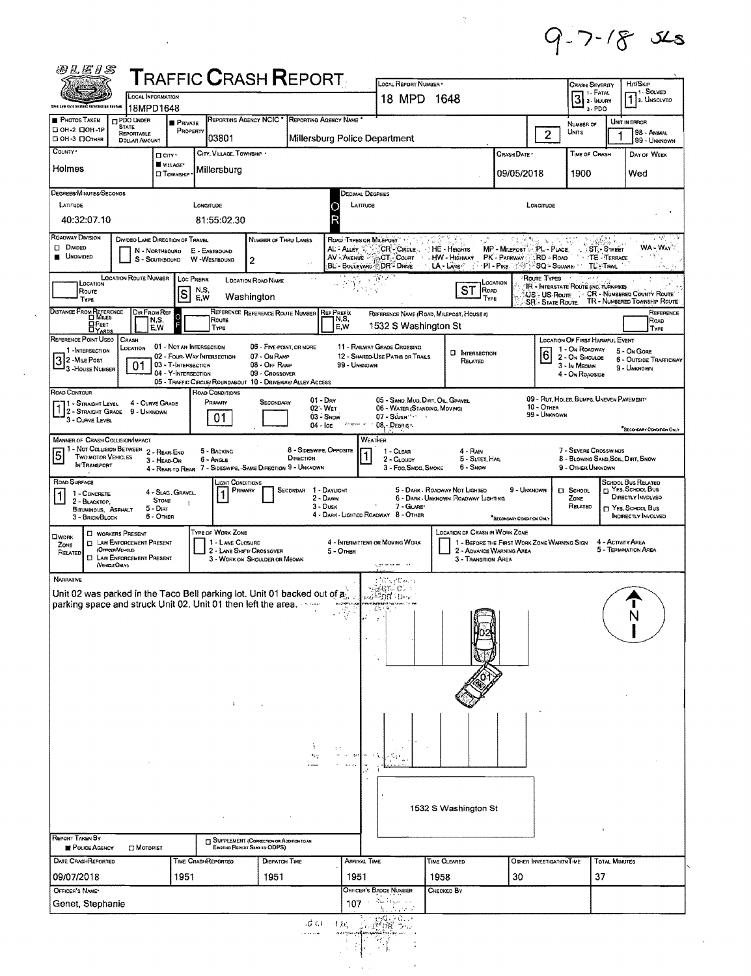$9 - 7 - 18x =$ 

 $\frac{1}{2} \sum_{i=1}^{n} \frac{1}{i} \sum_{j=1}^{n} \frac{1}{j} \sum_{j=1}^{n} \frac{1}{j} \sum_{j=1}^{n} \frac{1}{j} \sum_{j=1}^{n} \frac{1}{j} \sum_{j=1}^{n} \frac{1}{j} \sum_{j=1}^{n} \frac{1}{j} \sum_{j=1}^{n} \frac{1}{j} \sum_{j=1}^{n} \frac{1}{j} \sum_{j=1}^{n} \frac{1}{j} \sum_{j=1}^{n} \frac{1}{j} \sum_{j=1}^{n} \frac{1}{j} \sum_{j=1}^{n$ 

| Only Law Cofornsonaut torormation degram                                                                            | <b>LOCAL INFORMATION</b>                                                                                                                   |                                                                                                                       | $\sf{T}$ RAFFIC $\sf{C}$ RASH $\sf{REPORT}$                                 |                                                                                        | LOCAL REPORT NUMBER .<br>18 MPD 1648                                                      |                                                                                                | <b>CRASH SEVERITY</b><br>$3$ 2- INJURY                                                                  | HIT/SKIP<br><sup>1</sup> . Solved<br>1 2. Unsolved                                                                         |
|---------------------------------------------------------------------------------------------------------------------|--------------------------------------------------------------------------------------------------------------------------------------------|-----------------------------------------------------------------------------------------------------------------------|-----------------------------------------------------------------------------|----------------------------------------------------------------------------------------|-------------------------------------------------------------------------------------------|------------------------------------------------------------------------------------------------|---------------------------------------------------------------------------------------------------------|----------------------------------------------------------------------------------------------------------------------------|
| <b>PHOTOS TAKEN</b>                                                                                                 | 18MPD1648<br><b>IT PDO UNDER</b><br><b>PRIVATE</b>                                                                                         | Reporting Agency NCIC '                                                                                               |                                                                             | REPORTING AGENCY NAME *                                                                |                                                                                           |                                                                                                | a-PDO                                                                                                   | UNIT IN ERROR                                                                                                              |
| D OH -2 DOH -1P<br>П OH-3 ПОТНЕR<br>County .                                                                        | <b>STATE</b><br>REPORTABLE<br><b>DOLLAR AMOUNT</b>                                                                                         | PROPERTY<br>103801                                                                                                    |                                                                             | Millersburg Police Department                                                          |                                                                                           | $\overline{2}$                                                                                 | NUMBER OF<br>UNITS                                                                                      | 98 - ANIMAL<br>99 - UNKNOWN                                                                                                |
| Holmes                                                                                                              | П спу·<br>VILLAGE*<br><b>CI</b> TOWNSHIP                                                                                                   | CITY, VILLAGE, TOWNSHIP .<br>Millersburg                                                                              |                                                                             |                                                                                        |                                                                                           | CRASH DATE<br>09/05/2018                                                                       | TIME OF CRASH<br>1900                                                                                   | DAY OF WEEK<br>Wed                                                                                                         |
| DEGREES/MINUTES/SECONDS<br>LATITUDE<br>40:32:07.10                                                                  |                                                                                                                                            | LONGITUDE<br>81:55:02.30                                                                                              |                                                                             | DECIMAL DEGREES<br>LATITUDE<br>C<br>R                                                  |                                                                                           | LONGITUDE                                                                                      |                                                                                                         |                                                                                                                            |
| ROADWAY DIVISION                                                                                                    | DIVIDEO LANE DIRECTION OF TRAVEL                                                                                                           |                                                                                                                       | NUMBER OF THRU LANES                                                        | ROAD TYPES OR MILEPOST                                                                 |                                                                                           |                                                                                                |                                                                                                         | $\epsilon_{\rm c}$                                                                                                         |
| <b>DivoED</b><br><b>UNDIVIDED</b>                                                                                   | N - NORTHBOUND E - EASTBOUND<br>S - SOUTHBOUND W - WESTBOUND                                                                               | 2                                                                                                                     |                                                                             | AL - ALLEY<br>AV - Avenue 2 DOT - Count<br>BL - Boulevard - DR - Drive                 | CR-CIRCLE<br>√ HE - Heights<br>- HW - Highway<br>$LA$ - $L$ and $C$                       | MP - MILEPOST > PL - PLACE,<br>$RD - R$ OAD<br>PK - PARKWAY<br>∘PI-P⊪xe ∷∜∛                    | <b>ST-STREET</b><br>TE-TERRACE<br>SQ - SQUARE<br><b>TL-TRAIL</b>                                        | <b>WA-WAY</b><br>- 76<br>$1 + 1 = 50$                                                                                      |
| LOCATION<br>Route<br>TYPE                                                                                           | <b>LOCATION ROUTE NUMBER</b><br> s                                                                                                         | Loc Prefix<br><b>LOCATION ROAD NAME</b><br>N,S,<br>Washington<br>EW                                                   |                                                                             |                                                                                        | <b>ST</b>                                                                                 | Route Types<br>LOCATION<br>ROAD<br>US-US Route<br>TYPE<br><b>SR</b> - STATE ROUTE              | IR - INTERSTATE ROUTE (INC. TURNPIKE)                                                                   | CR - NUMBERED COUNTY ROUTE<br>TR - NUMBERED TOWNSHIP ROUTE:                                                                |
| DISTANCE FROM REFERENCE<br><b>OFEET</b>                                                                             | Dir From Ref<br>O<br>N,S,<br>E,W                                                                                                           | Route<br>TYPE                                                                                                         | REFERENCE REFERENCE ROUTE NUMBER REF PREFIX                                 | N,S,<br>E.W                                                                            | REFERENCE NAME (ROAD, MILEPOST, HOUSE #)<br>1532 S Washington St                          |                                                                                                |                                                                                                         | REFERENCE<br>ROAD<br>Type                                                                                                  |
| REFERENCE POINT USEO<br>1-INTERSECTION<br>32 - MILE POST<br>3 - House Number                                        | <b>CRASH</b><br>LOCATION<br>01<br>03 - T-INTERSECTION<br>04 - Y-INTERSECTION                                                               | 01 - Not an Intersection<br>02 - FOUR WAY INTERSECTION<br>05 - TRAFFIC CIRCLE/ ROUNDABOUT 10 - DRIVEWAY/ ALLEY ACCESS | 06 - FIVE POINT, OR MORE<br>07 - ON RAMP<br>08 - Off RAMP<br>09 - CROSSOVER | <b>11 - RAILWAY GRADE CROSSING</b><br>12 - SHAREO-USE PATHS OR TRAILS<br>99 - UNKNOWN  | <b>D</b> INTERSECTION<br>RELATED                                                          | $6 \overline{6}$                                                                               | LOCATION OF FIRST HARMFUL EVENT<br>1 - On Roadway<br>2 - On Shouloe<br>3 - In MEDIAN<br>4 - On Roadside | 5 - On Gore<br><b>6 - OUTSIDE TRAFFICWAY</b><br>9 - UNKNOWN                                                                |
| ROAD CONTOUR<br>1 - Straight Level 4 - Curve Gr.<br>12 - Straight Grade 9 - Unknown<br>3 - CURVE LEVEL              | 4 - CURVE GRADE                                                                                                                            | ROAD CONDITIONS<br>PRIMARY<br>01                                                                                      | SECONDARY                                                                   | $01 - \text{Div}$<br>02'-WET<br>03 - Snow<br>de gour le<br>$04 -$ ICE<br>$08 -$ Debrus | 05 - SAND, MUD, DIRT, OIL, GRAVEL<br>06 - WATER (STANDING, MOVING)<br>07 - SLUSH          | $10 -$ OTHER<br>99 - UNKNOWN                                                                   | 09 - RUT, HOLES, BUMPS, UNEVEN PAVEMENT                                                                 | <sup>#</sup> SECONDARY CONDITION ONLY                                                                                      |
| <b>MANNER OF CRASH COLLISION/IMPACT</b><br>$\overline{5}$<br><b>TWO MOTOR VEHICLES</b><br>IN TRANSPORT              | 1 - Not Collision Between 2 - Rear Eng<br>3 - HEAD-ON                                                                                      | 5 - BACKING<br>6 - ANGLE<br>4 - REAR TO-REAR 7 - SIDESWIPE, SAME DIRECTION 9 - UNKNOWN                                | 8 - SIDESWIPE, OPPOSITE<br>DIRECTION                                        | Weather                                                                                | 1 - CLEAR<br>4 - Rain<br>5 - SLEET, HAIL<br>2 - CLOUDY<br>3 - Fog Smog, Smoke<br>6 - Snow |                                                                                                | 7 - SEVERE CROSSWINOS<br>8 - BLOWING SAND, SOIL, DIRT, SNOW<br>9 - Other/Unknown                        |                                                                                                                            |
| ROAD SURFACE<br>$\vert$ 1 $\vert$<br>1 - CONCRETE<br>2 - BLACKTOP,<br><b>BITUMINOUS, ASPHALT</b><br>3 - BRICK-BLOCK | 4 - SLAG, GRAVEL,<br><b>STONE</b><br>$5 -$ Dirit<br>6 - OTHER                                                                              | <b>LIGHT CONDITIONS</b><br>PRIMARY                                                                                    | SECONDAR 1 - DAYUGHT                                                        | 2 - DAWN<br>$3 - D$ usk<br>4 - DARK - LIGHTED ROADWAY 8 - OTHER                        | 5 - DARK - ROADWAY NOT LIGHTED<br>6 - DARK - UNKNOWN ROADWAY LIGHTING<br>7 - GLARE'       | 9 - UNKNOWN<br>*SECONDARY CONDITION ONLY                                                       | <b>El School</b><br>ZONE<br>RELATED                                                                     | SCHOOL BUS RELATED<br><sup>1</sup> YES, SCHOOL BUS<br>DIRECTLY INVOLVED<br>m Yes. School Bus<br><b>INDIRECTLY INVOLVED</b> |
| <b>CIWORK</b><br>ZONE<br>RELATED<br>(VEHICLE ONLY)                                                                  | <b>C WORKERS PRESENT</b><br><b>D LAW ENFORCEMENT PRESENT</b><br>(OFFICER/VENCLE)<br><b>EL LAW ENFORCEMENT PRESENT</b>                      | TYPE OF WORK ZONE<br>1 - LANE CLOSURE<br>2 - LANE SHIFT/ CROSSOVER<br>3 - WORK ON SHOULDER OR MEOLAN                  |                                                                             | 4 - INTERMITTENT OR MOVING WORK<br>5 - OTHER<br>giga se sa anciona                     | LOCATION OF CRASH IN WORK ZONE                                                            | 1 - BEFORE THE FIRST WORK ZONE WARNING SIGN<br>2 - ADVANCE WARNING AREA<br>3 - TRANSITION AREA |                                                                                                         | 4 - ACTIVITY AREA<br>5 - TERMINATION AREA                                                                                  |
| NARRATIVE                                                                                                           | Unit 02 was parked in the Taco Bell parking lot. Unit 01 backed out of a.<br>parking space and struck Unit 02. Unit 01 then left the area. |                                                                                                                       |                                                                             | t Sürey Calery<br>Selen C.<br>wo <sup>ng</sup> ord Orw<br>$\frac{1}{2}$                |                                                                                           |                                                                                                |                                                                                                         |                                                                                                                            |
|                                                                                                                     |                                                                                                                                            |                                                                                                                       | Ą<br>$\mathfrak{H} \mathfrak{m}$                                            |                                                                                        |                                                                                           |                                                                                                |                                                                                                         |                                                                                                                            |
|                                                                                                                     |                                                                                                                                            |                                                                                                                       | SUPPLEMENT (COPSECTION OR ADDITION TO AN                                    |                                                                                        | 1532 S Washington St                                                                      |                                                                                                |                                                                                                         |                                                                                                                            |
| POLICE AGENCY                                                                                                       | <b>D</b> MOTORIST                                                                                                                          | Existing Report Sent to ODPS)<br>TIME CRASHREPORTEO                                                                   | Dispatch Time                                                               | ARRIVAL TIME                                                                           | Time Cleared                                                                              | OTHER INVESTIGATION TIME                                                                       | <b>TOTAL MINUTES</b>                                                                                    |                                                                                                                            |
| REPORT TAKEN BY<br>DATE CRASHREPORTED<br>09/07/2018<br>OFFICER'S NAME*                                              | 1951                                                                                                                                       |                                                                                                                       | 1951                                                                        | 1951<br>Officer's Badge Number                                                         | 1958<br>CHECKED BY                                                                        | 30                                                                                             | 37                                                                                                      |                                                                                                                            |
| Genet, Stephanie                                                                                                    |                                                                                                                                            |                                                                                                                       |                                                                             | 107                                                                                    |                                                                                           |                                                                                                |                                                                                                         |                                                                                                                            |

 $\mathcal{L}(\mathcal{L}^{\text{max}}_{\mathcal{L}}(\mathcal{L}^{\text{max}}_{\mathcal{L}}))$  ,  $\mathcal{L}^{\text{max}}_{\mathcal{L}^{\text{max}}_{\mathcal{L}}(\mathcal{L}^{\text{max}}_{\mathcal{L}})}$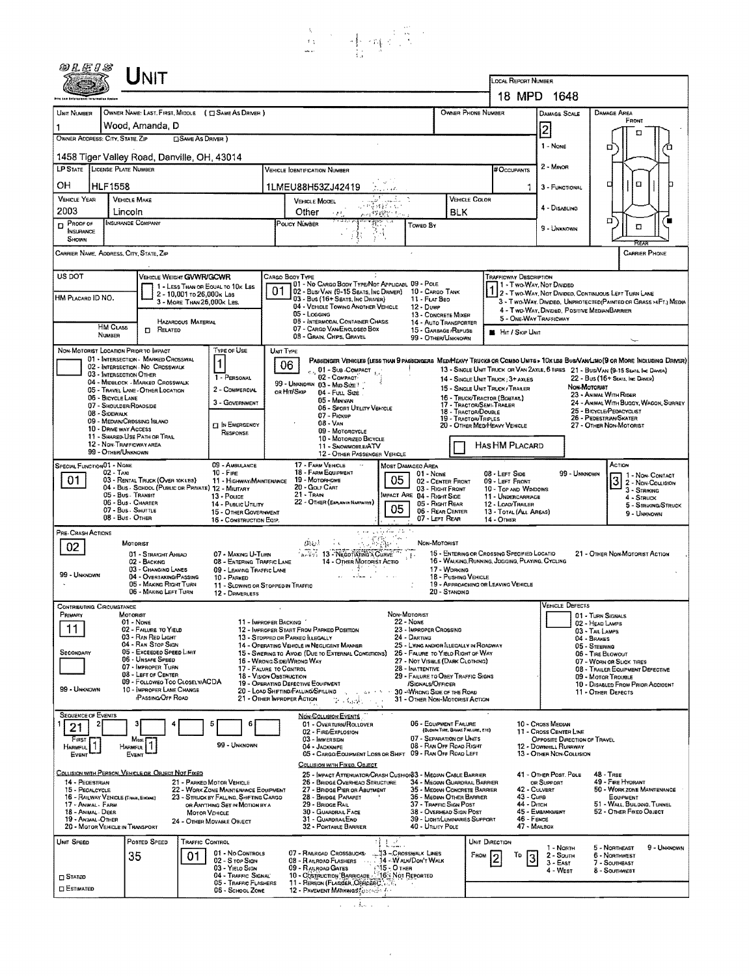

|                                                                                                                                                                                                                                                                           |                                                                                                                                                                                                  | ${\sf UnIT}$                                                                                                                                                                                                                                                              |                       |                                                                                                                                                                                                                                            |                                       |                                                                                                                                                                         |                                                                                                                                                                                                                                                                                                                                                                                                                                         |                                                                                  |                                                                                                                                                                                                                                                                                                                                       |                                                                                                                                                                                                                  |                                                                                                                                                                                                                                                                 |                                                                                                                                              |                                                       |                                                                                                                                |                                                          |                                                                                                                                                                                                                                                               |                                                                                                                               |                                       |
|---------------------------------------------------------------------------------------------------------------------------------------------------------------------------------------------------------------------------------------------------------------------------|--------------------------------------------------------------------------------------------------------------------------------------------------------------------------------------------------|---------------------------------------------------------------------------------------------------------------------------------------------------------------------------------------------------------------------------------------------------------------------------|-----------------------|--------------------------------------------------------------------------------------------------------------------------------------------------------------------------------------------------------------------------------------------|---------------------------------------|-------------------------------------------------------------------------------------------------------------------------------------------------------------------------|-----------------------------------------------------------------------------------------------------------------------------------------------------------------------------------------------------------------------------------------------------------------------------------------------------------------------------------------------------------------------------------------------------------------------------------------|----------------------------------------------------------------------------------|---------------------------------------------------------------------------------------------------------------------------------------------------------------------------------------------------------------------------------------------------------------------------------------------------------------------------------------|------------------------------------------------------------------------------------------------------------------------------------------------------------------------------------------------------------------|-----------------------------------------------------------------------------------------------------------------------------------------------------------------------------------------------------------------------------------------------------------------|----------------------------------------------------------------------------------------------------------------------------------------------|-------------------------------------------------------|--------------------------------------------------------------------------------------------------------------------------------|----------------------------------------------------------|---------------------------------------------------------------------------------------------------------------------------------------------------------------------------------------------------------------------------------------------------------------|-------------------------------------------------------------------------------------------------------------------------------|---------------------------------------|
|                                                                                                                                                                                                                                                                           |                                                                                                                                                                                                  |                                                                                                                                                                                                                                                                           |                       |                                                                                                                                                                                                                                            |                                       |                                                                                                                                                                         |                                                                                                                                                                                                                                                                                                                                                                                                                                         |                                                                                  |                                                                                                                                                                                                                                                                                                                                       |                                                                                                                                                                                                                  |                                                                                                                                                                                                                                                                 | LOCAL REPORT NUMBER                                                                                                                          |                                                       | 18 MPD 1648                                                                                                                    |                                                          |                                                                                                                                                                                                                                                               |                                                                                                                               |                                       |
| UNIT NUMBER                                                                                                                                                                                                                                                               |                                                                                                                                                                                                  |                                                                                                                                                                                                                                                                           |                       | OWNER NAME: LAST, FIRST, MIDDLE ( C SAME AS DRIVER )                                                                                                                                                                                       |                                       |                                                                                                                                                                         |                                                                                                                                                                                                                                                                                                                                                                                                                                         |                                                                                  |                                                                                                                                                                                                                                                                                                                                       | OWNER PHONE NUMBER                                                                                                                                                                                               |                                                                                                                                                                                                                                                                 |                                                                                                                                              |                                                       | DAMAGE SCALE                                                                                                                   |                                                          | <b>DAMAGE AREA</b>                                                                                                                                                                                                                                            |                                                                                                                               |                                       |
|                                                                                                                                                                                                                                                                           |                                                                                                                                                                                                  | Wood, Amanda, D                                                                                                                                                                                                                                                           |                       |                                                                                                                                                                                                                                            |                                       |                                                                                                                                                                         |                                                                                                                                                                                                                                                                                                                                                                                                                                         |                                                                                  |                                                                                                                                                                                                                                                                                                                                       |                                                                                                                                                                                                                  |                                                                                                                                                                                                                                                                 |                                                                                                                                              |                                                       | 2                                                                                                                              |                                                          |                                                                                                                                                                                                                                                               | FRONT                                                                                                                         |                                       |
| OWNER ADDRESS: CITY, STATE, ZIP<br><b>SAME AS DRIVER</b> )                                                                                                                                                                                                                |                                                                                                                                                                                                  |                                                                                                                                                                                                                                                                           |                       |                                                                                                                                                                                                                                            |                                       |                                                                                                                                                                         |                                                                                                                                                                                                                                                                                                                                                                                                                                         |                                                                                  |                                                                                                                                                                                                                                                                                                                                       |                                                                                                                                                                                                                  |                                                                                                                                                                                                                                                                 | 1 - None                                                                                                                                     |                                                       | ם                                                                                                                              | □                                                        |                                                                                                                                                                                                                                                               |                                                                                                                               |                                       |
| 1458 Tiger Valley Road, Danville, OH, 43014                                                                                                                                                                                                                               |                                                                                                                                                                                                  |                                                                                                                                                                                                                                                                           |                       |                                                                                                                                                                                                                                            |                                       |                                                                                                                                                                         |                                                                                                                                                                                                                                                                                                                                                                                                                                         |                                                                                  |                                                                                                                                                                                                                                                                                                                                       |                                                                                                                                                                                                                  |                                                                                                                                                                                                                                                                 |                                                                                                                                              |                                                       | 2 - MINOR                                                                                                                      |                                                          |                                                                                                                                                                                                                                                               |                                                                                                                               |                                       |
| LP STATE LICENSE PLATE NUMBER                                                                                                                                                                                                                                             |                                                                                                                                                                                                  |                                                                                                                                                                                                                                                                           |                       |                                                                                                                                                                                                                                            |                                       | <b>VEHICLE IOENTIFICATION NUMBER</b>                                                                                                                                    |                                                                                                                                                                                                                                                                                                                                                                                                                                         |                                                                                  |                                                                                                                                                                                                                                                                                                                                       |                                                                                                                                                                                                                  |                                                                                                                                                                                                                                                                 | # Occupants<br>о                                                                                                                             |                                                       |                                                                                                                                |                                                          |                                                                                                                                                                                                                                                               | α                                                                                                                             |                                       |
| <b>VEHICLE YEAR</b>                                                                                                                                                                                                                                                       | OН<br>HLF 1558<br><b>VEHICLE MAKE</b>                                                                                                                                                            |                                                                                                                                                                                                                                                                           |                       |                                                                                                                                                                                                                                            |                                       | 1LMEU88H53ZJ42419<br><b>VEHICLE COLOR</b><br>التكسيب<br><b>VEHICLE MODEL</b>                                                                                            |                                                                                                                                                                                                                                                                                                                                                                                                                                         |                                                                                  |                                                                                                                                                                                                                                                                                                                                       |                                                                                                                                                                                                                  |                                                                                                                                                                                                                                                                 | 3 - FUNCTIONAL                                                                                                                               |                                                       |                                                                                                                                |                                                          |                                                                                                                                                                                                                                                               |                                                                                                                               |                                       |
| 2003                                                                                                                                                                                                                                                                      | Lincoln<br><b>INSURANCE COMPANY</b>                                                                                                                                                              |                                                                                                                                                                                                                                                                           |                       |                                                                                                                                                                                                                                            | - 经实践银行 ( )。<br>BLK<br>Other<br>网络避野机 |                                                                                                                                                                         |                                                                                                                                                                                                                                                                                                                                                                                                                                         |                                                                                  |                                                                                                                                                                                                                                                                                                                                       |                                                                                                                                                                                                                  |                                                                                                                                                                                                                                                                 |                                                                                                                                              |                                                       | 4 - DISABLING                                                                                                                  |                                                          | п                                                                                                                                                                                                                                                             |                                                                                                                               |                                       |
| $D$ Proof or<br>INSURANCE<br><b>SHOWN</b>                                                                                                                                                                                                                                 |                                                                                                                                                                                                  |                                                                                                                                                                                                                                                                           |                       |                                                                                                                                                                                                                                            |                                       | POLICY NÚMBER                                                                                                                                                           |                                                                                                                                                                                                                                                                                                                                                                                                                                         |                                                                                  | Towed By                                                                                                                                                                                                                                                                                                                              |                                                                                                                                                                                                                  |                                                                                                                                                                                                                                                                 |                                                                                                                                              |                                                       | 9 - Unknown                                                                                                                    |                                                          |                                                                                                                                                                                                                                                               | o                                                                                                                             |                                       |
| CARRIER NAME, ADDRESS, CITY, STATE, ZIP                                                                                                                                                                                                                                   |                                                                                                                                                                                                  |                                                                                                                                                                                                                                                                           |                       |                                                                                                                                                                                                                                            |                                       |                                                                                                                                                                         |                                                                                                                                                                                                                                                                                                                                                                                                                                         |                                                                                  |                                                                                                                                                                                                                                                                                                                                       |                                                                                                                                                                                                                  |                                                                                                                                                                                                                                                                 |                                                                                                                                              |                                                       |                                                                                                                                |                                                          |                                                                                                                                                                                                                                                               | <b>CARRIER PHONE</b>                                                                                                          |                                       |
| US DOT<br>VEHICLE WEIGHT GVWR/GCWR<br>1 - LESS THAN OR EQUAL TO 10K LBS<br>2 - 10,001 to 26,000x Las<br>HM PLACARD ID NO.<br>3 - MORE THAN 26,000K LBS.<br>HAZARODUS MATERIAL                                                                                             |                                                                                                                                                                                                  |                                                                                                                                                                                                                                                                           | 01                    | CARGO BOOY TYPE<br>01 - No CARGO BODY TYPE/NOT APPLICABL 09 - POLE<br>02 - Bus/Van (9-15 Seats, Inc Driver)<br>03 - Bus (16+ Seats, Inc DRIVER)<br>04 - VEHICLE TOWING ANOTHER VEHICLE<br>05 - Logging<br>06 - INTERMODAL CONTAINER CHASIS |                                       |                                                                                                                                                                         | 12 - Duwe                                                                                                                                                                                                                                                                                                                                                                                                                               | 10 - CARGO TANK<br>11 - FLAT BEO<br>13 - CONCRETE MIXER<br>14 - AUTO TRANSPORTER |                                                                                                                                                                                                                                                                                                                                       |                                                                                                                                                                                                                  | <b>TRAFFICWAY DESCRIPTION</b><br>1 - Two-Way, Not Divided<br>2 - Two-Way, Not Divideo, Continuous LEFT TURN LANE<br>3 - T WO-WAY, DIVIDEO, UNPROTECTED (PAINTED OR GRASS >4FT.) MEDIA<br>4 - TWO-WAY, DIVIDED, POSITIVE MEDIANBARRIER<br>5 - ONE-WAY TRAFFICWAY |                                                                                                                                              |                                                       |                                                                                                                                |                                                          |                                                                                                                                                                                                                                                               |                                                                                                                               |                                       |
|                                                                                                                                                                                                                                                                           | <b>HM CLASS</b><br>NUMBER                                                                                                                                                                        | 0<br>RELATED                                                                                                                                                                                                                                                              |                       |                                                                                                                                                                                                                                            |                                       |                                                                                                                                                                         | 07 - CARGO VAN ENCLOSED BOX<br>08 - GRAIN, CHIPS, GRAVEL                                                                                                                                                                                                                                                                                                                                                                                |                                                                                  | 15 - GARBAGE /REFUSE<br>99 - OTHER/UNKNOWN                                                                                                                                                                                                                                                                                            |                                                                                                                                                                                                                  |                                                                                                                                                                                                                                                                 | <b>B</b> Hr / Skip Unit                                                                                                                      |                                                       |                                                                                                                                |                                                          |                                                                                                                                                                                                                                                               |                                                                                                                               |                                       |
| NON-MOTORIST LOCATION PRIOR TO IMPACT                                                                                                                                                                                                                                     | 03 - INTERSECTION OTHER<br>06 - BICYCLE LANE<br>07 - SHOULDER/ROADSIDE<br>08 - SIDEWALK<br>09 - MEDIAN/CROSSING ISLAND<br>10 - DRNE WAY ACCESS<br>12 - NON-TRAFFICWAY AREA<br>99 - OTHER/UNKNOWN | 01 - INTERSECTION - MARKED CROSSWAL<br>02 - INTERSECTION - NO CROSSWALK<br>04 - MIDBLOCK - MARKED CROSSWALK<br>05 - TRAVEL LANE - OTHER LOCATION<br>11 - SHARED-USE PATH OR TRAIL                                                                                         |                       | Type of Use<br>1 - PERSONAL<br>2 - COMMERCIAL<br>3 - GOVERNMENT<br><b>IN EMERGENCY</b><br>RESPONSE                                                                                                                                         | UNIT TYPE                             | 06<br>on Hit/Skip                                                                                                                                                       | PASSENGER VEHICLES (LESS THAN 9 PASSENGERS MEDIMEAVY TRUCKS OR COMBO UNITS > 10X LBS BUS/VAN/LIMO (9 OR MORE INCLUDING DRIVER)<br>01 - Sub-COMPACT<br>02 - COMPACT-<br>99 - UNKNOWN 03 - Mid Size?<br>04 - Fun Size<br>05 - Minivan<br>06 - SPORT UTILITY VEHICLE<br>07 - Pickup<br>$08 - V_{AN}$<br>09 - MOTORCYCLE<br>10 - MOTORIZED BICYCLE<br>11 - SNOWMOBLE/ATV<br>12 - OTHER PASSENGER VEHICLE                                    |                                                                                  |                                                                                                                                                                                                                                                                                                                                       | 14 - SINGLE UNIT TRUCK: 3+ AXLES<br>15 - SINGLE UNIT TRUCK / TRAILER<br>16 - TRUCK/TRACTOR (BOBTAR.)<br>17 - TRACTOR/SEMI-TRAILER<br>18 - TRACTOR/DOUBLE<br>19 - TRACTOR/TRIPLES<br>20 - OTHER MEDIHEAVY VEHICLE |                                                                                                                                                                                                                                                                 | <b>HAS HM PLACARD</b>                                                                                                                        |                                                       |                                                                                                                                | NON-MOTORIST                                             | 13 - SINGLE UNIT TRUCK OR VAN 2AXLE, 6 TIRES 21 - BUS/VAN (9-15 SEATS, INC DAIVER)<br>22 - Bus (16+ Seats, Inc Daver)<br>23 - ANIMAL WITH RIDER<br>25 - BICYCLE/PEDACYCLIST<br>26 - Pedestrian/Skater<br>27 - OTHER NON-MOTORIST                              |                                                                                                                               | 24 - ANIMAL WITH BUGGY, WAGON, SURREY |
| SPECIAL FUNCTION 01 - NONE<br>01                                                                                                                                                                                                                                          | $02 - TAX1$<br>05 - Bus - Transit<br>06 - Bus - Charter<br>07 - Bus - SHUTTLE<br>08 - Bus - OTHER                                                                                                | 03 - RENTAL TRUCK (OVER 10KLBS)<br>04 - Bus - SCHOOL (PUBLIC OR PRIVATE) 12 - MILITARY                                                                                                                                                                                    |                       | 09 - AMBULANCE<br>$10 -$ Fine<br>11 - HIGHWAY/MAINTENANCE<br>13 - Pouce<br>14 - PUBLIC UTILITY<br>15 - OTHER GOVERNMENT<br>16 - CONSTRUCTION EQIP.                                                                                         |                                       | 19 - MOTORHOME<br>20 - Gour Carl<br>$21 -$ Train                                                                                                                        | 17 - FARM VEHICLE<br>18 - FARM EQUIPMENT<br>22 - OTHER (EXPLAINIR NARPATIVE)                                                                                                                                                                                                                                                                                                                                                            | 05<br>05                                                                         | MOST DAMAGEO AREA<br>01 - None<br>MPACT ARE 04 - RIGHT SIDE<br>05 - Right Rear<br>07 - LEFT REAR                                                                                                                                                                                                                                      | 02 - CENTER FRONT<br>03 - RIGHT FRONT<br>06 - REAR CENTER                                                                                                                                                        |                                                                                                                                                                                                                                                                 | 08 - LEFT SIDE<br>09 - LEFT FRONT<br>10 - Top and Windows<br>11 - UNDERCARRIAGE<br>12 - LOAD/TRAILER<br>13 - TOTAL (ALL AREAS)<br>14 - OTHER |                                                       |                                                                                                                                | 99 - UNKNOWN                                             | ACTION                                                                                                                                                                                                                                                        | 1 1 - Non-Contact<br>$31 - \frac{1 - \text{NON-CONTACT}}{2 - \text{Non-COLISON}}$<br>3 - STRIKNG<br>4 - Struck<br>9 - UNKNOWN | 5 - STRIKING/STRUCK                   |
| PRE- CRASH ACTIONS<br>02<br>99 - UNKNDWN                                                                                                                                                                                                                                  | MOTORIST                                                                                                                                                                                         | 01 - STRAIGHT AHEAD<br>02 - BACKING<br>03 - CHANGING LANES<br>04 - Overtaxing/Passing<br>05 - MAKING RIGHT TURN<br>06 - MAKING LEFT TURN                                                                                                                                  |                       | 07 - MAKING U-TURN<br>08 - ENTERING TRAFFIC LANE<br>09 - LEAVING TRAFFIC LANE<br>10 - PARKED<br>11 - SLOWING OR STOPPED IN TRAFFIC<br>12 - DRIVERLESS                                                                                      |                                       | the !                                                                                                                                                                   | $\alpha=0.1$<br>A. U. 13 - NEGOTIATING A CURVE<br>14 - OTHER MOTORIST ACTIO                                                                                                                                                                                                                                                                                                                                                             | بالأنقاذ عظيلها والمداو<br>$\mathcal{L}(\mathbb{R}^d; \mathbb{R}^d))$            | NON-MOTORIST<br>$\pm1$                                                                                                                                                                                                                                                                                                                | 15 - ENTERING OR CROSSING SPECIFIED LOCATIO<br>16 - WALKING, RUNNING, JOGGING, PLAYING, CYCLING<br>17 - WORKING<br>18 - Pushing Vehicle<br>19 - APPROACHING OR LEAVING VEHICLE<br>20 - STANDING                  |                                                                                                                                                                                                                                                                 |                                                                                                                                              |                                                       |                                                                                                                                |                                                          | 21 - OTHER NON-MOTORIST ACTION                                                                                                                                                                                                                                |                                                                                                                               |                                       |
| <b>CONTRIBUTING CIRCUMSTANCE</b><br>Primary<br>11<br>SECONDARY<br>99 - UNKNOWN                                                                                                                                                                                            | MOTORIST                                                                                                                                                                                         | $01 - None$<br>02 - FAILURE TO YIELD<br>03 - RAN RED LIGHT<br>04 - RAN STOP SIGN<br>05 - Excesped Speed Limit<br>06 - UNSAFE SPEED<br>07 - IMPROPER TURN<br>08 - LEFT OF CENTER<br>09 - FOLLOWEG TOO CLOSELY/ACDA<br>10 - IMPROPER LANE CHANGE<br><b>PASSING/OFF ROAD</b> |                       | 11 - IMPROPER BACKING<br>17 - FALURE TO CONTROL<br>18 - VISION OBSTRUCTION                                                                                                                                                                 |                                       | 13 - STOPPEO OR PARKED LLEGALLY<br>16 - WRONG SIDE/WRONG WAY<br>19 - OPERATING DEFECTIVE EQUIPMENT<br>20 - LOAD SHIFTING/FALLING/SPILLING<br>21 - OTHER IMPROPER ACTION | 12 - IMPROPER START FROM PARKED POSITION<br>14 - OPERATING VEHICLE IN NEGLIGENT MANNER<br>15 - Swering to Avoid (Due to External Conditions)<br>a - Galo                                                                                                                                                                                                                                                                                | $\Delta\alpha=0.25$                                                              | NON-MOTORIST<br>22 - None<br>23 - IMPROPER CROSSING<br>24 - DARTING<br>25 - LYING AND/OR ILLEGALLY IN ROADWAY<br>26 - FALURE TO YIELD RIGHT OF WAY<br>27 - NOT VISIBLE (DARK CLOTHING)<br>28 - INATTENTIVE<br>29 - FAILURE TO OBEY TRAFFIC SIGNS<br>/SIGNALS/OFFICER<br>30 - WRONG SIDE OF THE ROAD<br>31 - OTHER NON-MOTORIST ACTION |                                                                                                                                                                                                                  |                                                                                                                                                                                                                                                                 |                                                                                                                                              |                                                       |                                                                                                                                | <b>VEHICLE DEFECTS</b>                                   | 01 - TURN SIGNALS<br>02 - HEAD LAMPS<br>03 - TAIL LAMPS<br>04 - BRAKES<br>05 - STEERING<br>06 - TIRE BLOWOUT<br>07 - WORN OR SLICK TIRES<br>08 - TRAILER EQUIPMENT DEFECTIVE<br>09 - MOTOR TROUBLE<br>10 - DISABLED FROM PRIOR ACCIOENT<br>11 - OTHER DEFECTS |                                                                                                                               |                                       |
| <b>SEQUENCE OF EVENTS</b><br>21<br>FIRST<br><b>HARMFUL</b><br>EVENT<br>COLLISION WITH PERSON, VEHICLE OR OBJECT NOT FIXED<br>14 - PEDESTRIAN<br>15 - PEOALCYCLE<br>16 - RAILWAY VEHICLE (TRAIN, ENGINE)<br>17 - Animal - Farm<br>18 - ANIMAL - DEER<br>19 - ANIMAL -OTHER | Harmful<br>EVENT                                                                                                                                                                                 | Most                                                                                                                                                                                                                                                                      | MOTOR VEHICLE         | 99 - UNKNOWN<br>21 - PARKED MOTOR VEHICLE<br>22 - WORK ZONE MAINTENANCE EQUIPMENT<br>23 - STRUCK BY FALLING, SHIFTING CARGO<br>OR ANYTHING SET IN MOTION BY A                                                                              |                                       |                                                                                                                                                                         | <b>NON-COLLISION EVENTS</b><br>01 - Overturn/Rollover<br>02 - FIRE/EXPLOSION<br>03 - IMMERSION<br>04 - JACKKNIFE<br>05 - CARGO/EQUIPMENT LOSS OR SHIFT 09 - RAN OFF ROAD LEFT<br>COLLISION WITH FIXED, OBJECT<br>25 - IMPACT ATTENUATOR/CRASH CUSHION 3 - MEDIAN CABLE BARRIER<br>26 - BRIDGE OVERHEAD STRUCTURE<br>27 - BRIDGE PIER OR ABUTMENT<br>28 - BRIDGE PARAPET<br>29 - Bridge Rail<br>30 - GUARDRAIL FACE<br>31 - GUARDRAILEND |                                                                                  | 06 - EQUIPMENT FAILURE<br>07 - SEPARATION OF UNITS<br>08 - RAN OFF ROAD RIGHT<br>34 - MEOWN GUARDRAIL BARRIER<br>35 - MEOWN CONCRETE BARRIER<br>36 - MEDIAN OTHER BARRIER<br>37 - TRAFFIC SIGN POST<br>38 - OVERHEAD SIGN POST<br>39 - LIGHT/LUMINARIES SUPPORT                                                                       | (BLOWN TIRE, BRAKE FAILURE, ETC)                                                                                                                                                                                 |                                                                                                                                                                                                                                                                 |                                                                                                                                              | 42 - CULVERT<br>43 - Cune<br>44 - Оптен<br>46 - FENCE | 10 - Cross MEDIAN<br>11 - Cross CENTER LINE<br>12 - DOWNHILL RUNAWAY<br>41 - OTHER POST, POLE<br>OR SUPPORT<br>45 - EMBANKMENT | OPPOSITE DIRECTION OF TRAVEL<br>13 - OTHER NON-COLLISION | $48 - T$ REE<br>49 - Fire Hydrant<br>50 - WORK ZONE MAINTENANCE<br>51 - WALL, BUILDING, TUNNEL<br>52 - OTHER FIXED OBJECT                                                                                                                                     | EQUIPMENT                                                                                                                     |                                       |
| 20 - MOTOR VEHICLE IN TRANSPORT<br>UNIT SPEED                                                                                                                                                                                                                             | 35                                                                                                                                                                                               | POSTED SPEED                                                                                                                                                                                                                                                              | TRAFFIC CONTROL<br>01 | 24 - OTHER MOVABLE OBJECT<br>01 - No CONTROLS<br>02 - S TOP SIGN                                                                                                                                                                           |                                       |                                                                                                                                                                         | 32 - PORTABLE BARRIER<br>07 - RAILROAD CROSSBUCKS<br>08 - RAILROAD FLASHERS                                                                                                                                                                                                                                                                                                                                                             | 甘山血<br>13 - Crosswalk Lines<br>- 14 - Walk/Don't Walk                            | 40 - UTILITY POLE                                                                                                                                                                                                                                                                                                                     |                                                                                                                                                                                                                  | FROM                                                                                                                                                                                                                                                            | UNIT DIRECTION                                                                                                                               | 47 - MAILBOX<br>Т٥<br>3                               | 1 - North<br>$2 -$ South<br>$3 - E$ AST                                                                                        |                                                          | 5 - NORTHEAST<br>6 - NORTHWEST<br>7 - SOUTHEAST                                                                                                                                                                                                               |                                                                                                                               | 9 - Unknown                           |
| $\square$ Stated<br><b>ESTIMATED</b>                                                                                                                                                                                                                                      |                                                                                                                                                                                                  |                                                                                                                                                                                                                                                                           |                       | 03 - YIELD SIGN<br>04 - TRAFFIC SIGNAL<br>05 - Traffic Flashers<br>06 - SCHOOL ZONE                                                                                                                                                        |                                       |                                                                                                                                                                         | 09 - RAILROAD GATES<br>10 - Costruction Bannicage 16: Not Reported<br>11 - Person (Flagelf, Officer C.<br>12 - PAVEMENT MARKINGS FOR SHOP APP                                                                                                                                                                                                                                                                                           | $+15 - 0$ Then                                                                   |                                                                                                                                                                                                                                                                                                                                       |                                                                                                                                                                                                                  |                                                                                                                                                                                                                                                                 |                                                                                                                                              |                                                       | 4 - West                                                                                                                       |                                                          | 8 - SOUTHWEST                                                                                                                                                                                                                                                 |                                                                                                                               |                                       |

 $\frac{1}{\sqrt{2\pi}}\left(\frac{1}{\sqrt{2\pi}}\right)^{2\sqrt{2}}\left(\frac{1}{\sqrt{2\pi}}\right)^{2\sqrt{2}}\left(\frac{1}{\sqrt{2\pi}}\right)^{2\sqrt{2}}$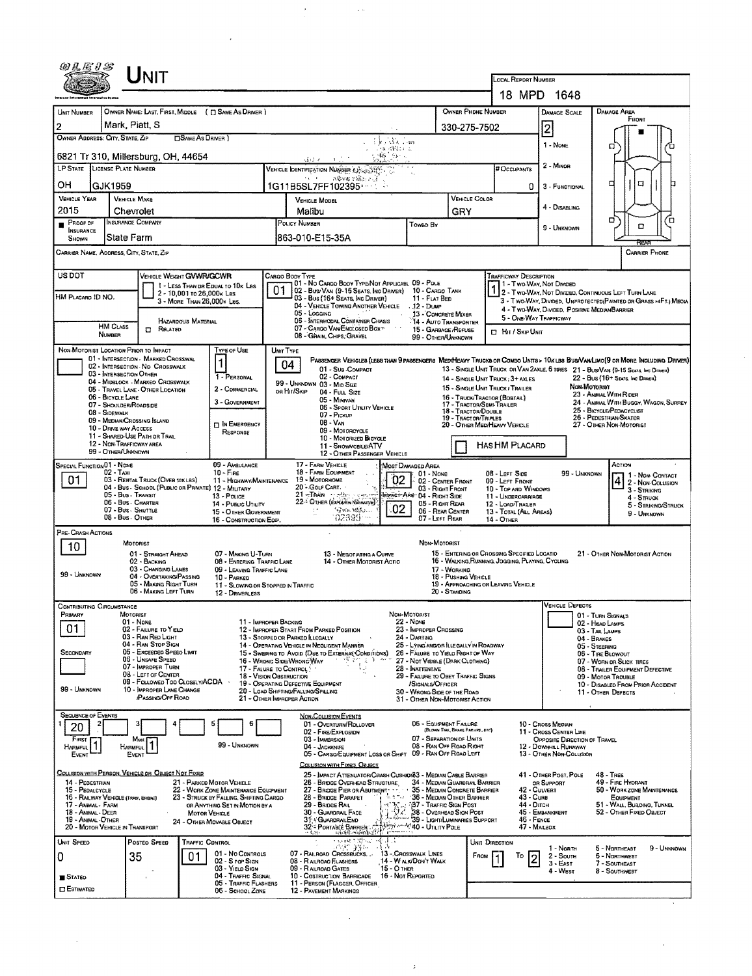|                                                                                                                                 |                                             | <b>NIT</b>                                                            |                            |                                                                          |    |                                                                                                                                                                                                                                |                                               |                                                                       |                                  |                           | LOCAL REPORT NUMBER                                                                                               |                                                                                    |                                    |                                                 |                                      |  |
|---------------------------------------------------------------------------------------------------------------------------------|---------------------------------------------|-----------------------------------------------------------------------|----------------------------|--------------------------------------------------------------------------|----|--------------------------------------------------------------------------------------------------------------------------------------------------------------------------------------------------------------------------------|-----------------------------------------------|-----------------------------------------------------------------------|----------------------------------|---------------------------|-------------------------------------------------------------------------------------------------------------------|------------------------------------------------------------------------------------|------------------------------------|-------------------------------------------------|--------------------------------------|--|
|                                                                                                                                 |                                             |                                                                       |                            |                                                                          |    |                                                                                                                                                                                                                                |                                               |                                                                       |                                  |                           |                                                                                                                   | 18 MPD 1648                                                                        |                                    |                                                 |                                      |  |
| UNIT NUMBER                                                                                                                     |                                             |                                                                       |                            | OWNER NAME: LAST, FIRST, MIDDLE ( [] SAME AS DRIVER )                    |    |                                                                                                                                                                                                                                |                                               |                                                                       |                                  | <b>OWNER PHONE NUMBER</b> |                                                                                                                   | <b>DAMAGE SCALE</b>                                                                |                                    | DAMAGE AREA                                     |                                      |  |
| 2                                                                                                                               | Mark, Piatt, S<br>330-275-7502              |                                                                       |                            |                                                                          |    |                                                                                                                                                                                                                                |                                               |                                                                       |                                  |                           |                                                                                                                   | 2                                                                                  |                                    | FRONT                                           |                                      |  |
| OWNER ADDRESS: CITY, STATE, ZIP<br><b>CISAME AS DRIVER</b> )<br>t les Sacson                                                    |                                             |                                                                       |                            |                                                                          |    |                                                                                                                                                                                                                                |                                               |                                                                       |                                  |                           |                                                                                                                   |                                                                                    |                                    |                                                 |                                      |  |
| ीक वर्षियम प्र<br>藤谷。<br>6821 Tr 310, Millersburg, OH, 44654<br>م (بل)                                                          |                                             |                                                                       |                            |                                                                          |    |                                                                                                                                                                                                                                |                                               |                                                                       |                                  |                           | 1 - NONE                                                                                                          | σ                                                                                  |                                    |                                                 |                                      |  |
| LP STATE LICENSE PLATE NUMBER<br>VEHICLE IDENTIFICATION NUMBER 43                                                               |                                             |                                                                       |                            |                                                                          |    |                                                                                                                                                                                                                                |                                               |                                                                       |                                  | # Occupants               | 2 - MINOR                                                                                                         |                                                                                    |                                    |                                                 |                                      |  |
| OН                                                                                                                              | GJK1959<br>1G11B5SL7FF102395                |                                                                       |                            |                                                                          |    |                                                                                                                                                                                                                                |                                               |                                                                       |                                  | 0                         | 3 - FUNCTIONAL                                                                                                    | □                                                                                  | O                                  |                                                 |                                      |  |
| <b>VEHICLE YEAR</b>                                                                                                             | <b>VEHICLE MAKE</b>                         |                                                                       |                            |                                                                          |    | <b>VEHICLE MODEL</b>                                                                                                                                                                                                           |                                               |                                                                       |                                  | VEHICLE COLOR             |                                                                                                                   | 4 - DISABLING                                                                      |                                    |                                                 |                                      |  |
| 2015<br>$P$ ROOF OF                                                                                                             | Chevrolet<br>INSURANCE COMPANY              |                                                                       |                            |                                                                          |    | Malibu<br>POLICY NUMBER<br>Towed By                                                                                                                                                                                            |                                               |                                                                       | GRY                              |                           |                                                                                                                   |                                                                                    | ۵                                  |                                                 | ά                                    |  |
| <b>INSURANCE</b><br>State Farm<br>SHOWN                                                                                         |                                             |                                                                       |                            |                                                                          |    | 863-010-E15-35A                                                                                                                                                                                                                |                                               |                                                                       |                                  |                           |                                                                                                                   | 9 - UNKNOWN                                                                        |                                    | O                                               |                                      |  |
| CARRIER NAME, ADDRESS, CITY, STATE, ZIP<br>CARRIER PHONE                                                                        |                                             |                                                                       |                            |                                                                          |    |                                                                                                                                                                                                                                |                                               |                                                                       |                                  |                           |                                                                                                                   |                                                                                    |                                    |                                                 |                                      |  |
| US DOT                                                                                                                          |                                             | VEHICLE WEIGHT GWWR/GCWR                                              |                            |                                                                          |    | CARGO BODY TYPE<br>01 - No CARGO BODY TYPE/NOT APPLICABL 09 - POLE                                                                                                                                                             |                                               |                                                                       |                                  |                           | <b>TRAFFICWAY DESCRIPTION</b>                                                                                     |                                                                                    |                                    |                                                 |                                      |  |
| HM PLACARD ID NO.                                                                                                               |                                             |                                                                       | 2 - 10,001 to 26,000x Las  | 1 - LESS THAN OR EDUAL TO 10K LBS                                        | 01 | 02 - BUS/VAN (9-15 SEATS, INC DRIVER) 10 - CARGO TANK<br>03 - Bus (16+ Seats, Inc Driver)                                                                                                                                      |                                               | 11 - FLAT BED                                                         |                                  |                           | 1 - Two Way, Nor Divideo<br>2 - Two-Way, Not Divideo, Continuous Left Turn Lane                                   |                                                                                    |                                    |                                                 |                                      |  |
|                                                                                                                                 |                                             |                                                                       | 3 - MORE THAN 26,000K LBS. |                                                                          |    | 04 - VEHICLE TOWING ANOTHER VEHICLE<br>05 - Logging                                                                                                                                                                            |                                               | . 12 - Dump<br>13 - CONCRETE MIXER                                    |                                  |                           | 3 - Two-Way, Divided, UNPROTECTED (PAINTED OR GRASS >4FT.) MEDIA<br>4 - Two-WAY, DIVIDED, POSITIVE MEDIAN BARRIER |                                                                                    |                                    |                                                 |                                      |  |
|                                                                                                                                 | <b>HM CLASS</b>                             | <b>CT</b> RELATED                                                     | <b>HAZARDOUS MATERIAL</b>  |                                                                          |    | 06 - INTERMODAL CONTAINER CHASIS<br>07 - CARGO VAN ENCLOSED BOXT                                                                                                                                                               |                                               | 14 - AUTO TRANSPORTER<br>15 - GARBAGE /REFUSE                         |                                  |                           | 5 - ONE-WAY TRAFFICWAY                                                                                            |                                                                                    |                                    |                                                 |                                      |  |
|                                                                                                                                 | <b>NUMBER</b>                               |                                                                       |                            |                                                                          |    | 08 - GRAIN, CHIPS, GRAVEL                                                                                                                                                                                                      |                                               | 99 - OTHER/UNKNOWN                                                    |                                  |                           | <b>El Hit / Skip Unit</b>                                                                                         |                                                                                    |                                    |                                                 |                                      |  |
| NON-MOTORIST LOCATION PRIOR TO IMPACT                                                                                           |                                             | 01 - INTERSECTION - MARKED CROSSWAL                                   |                            | TYPE OF USE<br>1                                                         |    | UNIT TYPE<br>PASSENGER VEHICLES (LESS THAN 9 PASSENGERS MEDIMEAVY TRUCKS OR COMBO UNITS > 10K LBS BUS/VAN/LIMO(9 OR MORE INCLUDING DRIVER)                                                                                     |                                               |                                                                       |                                  |                           |                                                                                                                   |                                                                                    |                                    |                                                 |                                      |  |
|                                                                                                                                 | 03 - INTERSECTION OTHER                     | 02 - INTERSECTION No CROSSWALK                                        |                            | 1 - PERSONAL                                                             |    | 04<br>01 - SUB COMPACT<br>02 - COMPACT                                                                                                                                                                                         |                                               |                                                                       |                                  |                           |                                                                                                                   | 13 - SINGLE UNIT TRUCK OR VAN 2AXLE, 6 TIRES 21 - BUS/VAN (9-15 SEATS, INC DRIVER) |                                    |                                                 |                                      |  |
|                                                                                                                                 |                                             | 04 - MIDBLOCK - MARKEO CROSSWALK<br>05 - TRAVEL LANE - OTHER LOCATION |                            | 2 - COMMERCIAL                                                           |    | 99 - UNKNDWN 03 - MID SIZE<br>OR HIT/SKIP<br>04 - FULL SIZE                                                                                                                                                                    |                                               |                                                                       |                                  |                           | 14 - SINGLE UNIT TRUCK: 3+ AXLES<br>15 - SINGLE UNIT TRUCK / TRAILER                                              |                                                                                    | Non-Motoriat                       | 22 - BUS (16+ Seats, Inc Driver)                |                                      |  |
|                                                                                                                                 | 06 - BICYCLE LANE<br>07 - Shoulder/Roadside |                                                                       |                            | 3 - GOVERNMENT                                                           |    | 05 - MINIVAN                                                                                                                                                                                                                   |                                               |                                                                       |                                  | 17 - TRACTOR/SENS TRAILER | 16 - TRUCK/TRACTOR (BOBTAIL)                                                                                      |                                                                                    | 23 - ANMAL WITH RIDER              |                                                 | 24 - ANMAL WITH BUGGY, WAGON, SURREY |  |
| 06 - SPORT UTILITY VEHICLE<br>08 - Sidewalk<br>07 - Pickup                                                                      |                                             |                                                                       |                            |                                                                          |    |                                                                                                                                                                                                                                |                                               | 18 - TRACTOR/DOUBLE<br>19 - TRACTOR/TRUPLES                           |                                  |                           | 26 - PEDESTRIAN/SKATER                                                                                            | 25 - BICYCLE/PEDACYCLIST                                                           |                                    |                                                 |                                      |  |
| 09 - MEDIAN/CROSSING ISLAND<br>08 - VAN<br><b>DIN EMERGENCY</b><br>10 - DRIVE WAY ACCESS<br>09 - MOTORCYCLE<br>RESPONSE         |                                             |                                                                       |                            |                                                                          |    |                                                                                                                                                                                                                                |                                               |                                                                       | 20 - OTHER MEDIMEAVY VEHICLE     |                           |                                                                                                                   | 27 - OTHER NON-MOTORIST                                                            |                                    |                                                 |                                      |  |
| 11 - SHARED-USE PATH OR TRAIL<br>10 - Motorized Bicycle<br>12 - NON-TRAFFICWAY AREA<br>11 - SNOWMOBLE/ATV<br>99 - OTHER/UNKNOWN |                                             |                                                                       |                            |                                                                          |    |                                                                                                                                                                                                                                |                                               | <b>HAS HM PLACARD</b>                                                 |                                  |                           |                                                                                                                   |                                                                                    |                                    |                                                 |                                      |  |
| SPECIAL FUNCTION 01 - NONE                                                                                                      |                                             |                                                                       |                            | 09 - AMBULANCE                                                           |    | 12 - OTHER PASSENGER VEHICLE<br>17 - FARM VEHICLE                                                                                                                                                                              | MOST DAMAGED AREA                             |                                                                       |                                  |                           |                                                                                                                   |                                                                                    |                                    | Action                                          |                                      |  |
| 01                                                                                                                              | $02 - TAXI$                                 | 03 - RENTAL TRUCK (OVER 10KLBS)                                       |                            | $10 -$ Fine<br>11 - Highway/Maintenance                                  |    | 18 - FARM EQUIPMENT<br>19 - Мотояноме                                                                                                                                                                                          | 02                                            | 01 - None<br>02 - CENTER FRONT                                        |                                  |                           | 08 LEFT SIDE<br>09 - LEFT FRONT                                                                                   | 99 - UNKNOWN                                                                       |                                    |                                                 | 1 - NON-CONTACT<br>2 - Non-Collision |  |
|                                                                                                                                 | 05 - Bus - TRANSIT                          |                                                                       |                            | 04 - Bus - School (Public or Private) 12 - Military<br>13 - Pouce        |    | 20 - GOLF CART.<br>21-Team vieles risenty                                                                                                                                                                                      | MPACT-ARE-04 - RIGHT SIDE                     | 03 - Right FRONT                                                      |                                  |                           | 10 - TOP AND WINDOWS<br>11 - UNDERGARRIAGE                                                                        |                                                                                    |                                    | 3 - STRIKING<br>4 - STRUCK                      |                                      |  |
|                                                                                                                                 | 06 - Bus - CHARTER<br>07 - Bus - SHUTTLE    |                                                                       |                            | 14 - PUBLIC UTILITY<br>15 - OTHER GOVERNMENT                             |    | 22- OTHER (EXHER'S NATIONALLY)<br>(金)机()::(g) ()<br>ţs.                                                                                                                                                                        | 02                                            | 05 - RIGHT REAR<br>06 - REAR CENTER                                   |                                  |                           | 12 - LOAD/TRALER<br>13 - TOTAL (ALL AREAS)                                                                        |                                                                                    |                                    |                                                 | 5 - STRIKING/STRUCK                  |  |
|                                                                                                                                 | 08 - Bus. OTHER                             |                                                                       |                            | 16 - CONSTRUCTION EOP.                                                   |    | 02399                                                                                                                                                                                                                          |                                               | 07 - LEFT REAR                                                        |                                  |                           | <b>14 - OTHER</b>                                                                                                 |                                                                                    |                                    | 9 - UNKNOWN                                     |                                      |  |
| PRE-CRASH ACTIONS                                                                                                               | MOTORIST                                    |                                                                       |                            |                                                                          |    |                                                                                                                                                                                                                                |                                               | NDN-MOTORIST                                                          |                                  |                           |                                                                                                                   |                                                                                    |                                    |                                                 |                                      |  |
| 10                                                                                                                              |                                             | 01 - STRAIGHT AHEAD                                                   |                            | 07 - MAKING U-TURN                                                       |    | 13 - NECOTIATING A CURVE                                                                                                                                                                                                       |                                               |                                                                       |                                  |                           | 15 - ENTERING OR CROSSING SPECIFIED LOCATIO                                                                       |                                                                                    |                                    | 21 - OTHER NON-MOTORIST ACTION                  |                                      |  |
| 99 - UNKNOWN                                                                                                                    |                                             | 02 - BACKING<br>03 - CHANGING LANES                                   |                            | 08 - ENTERING TRAFFIC LANE<br>09 - LEAVING TRAFFIC LANE                  |    | 14 - OTHER MOTORIST ACTIO                                                                                                                                                                                                      |                                               |                                                                       | 17 - WORKING                     |                           | 16 - WALKING, RUNNING, JOGGING, PLAYING, CYCLING                                                                  |                                                                                    |                                    |                                                 |                                      |  |
|                                                                                                                                 |                                             | 04 - OVERTAKING/PASSING<br>05 - MAKING RIGHT TURN                     |                            | 10 - PARKED<br>11 - SLOWING OR STOPPED IN TRAFFIC                        |    |                                                                                                                                                                                                                                |                                               |                                                                       | 18 - PUSHING VEHICLE             |                           | 19 - APPROACHING OR LEAVING VEHICLE                                                                               |                                                                                    |                                    |                                                 |                                      |  |
|                                                                                                                                 |                                             | <b>06 - MAKING LEFT TURN</b>                                          |                            | 12 - DRIVERLESS                                                          |    |                                                                                                                                                                                                                                |                                               |                                                                       | 20 - Standing                    |                           |                                                                                                                   | VEHICLE DEFECTS                                                                    |                                    |                                                 |                                      |  |
| CONTRIBUTING CIRCUMSTANCE<br>PRIMARY                                                                                            | MOTORIST                                    |                                                                       |                            |                                                                          |    |                                                                                                                                                                                                                                | NON-MOTORIST                                  |                                                                       |                                  |                           |                                                                                                                   |                                                                                    | 01 - TURN SIGNALS                  |                                                 |                                      |  |
| 01                                                                                                                              | 01 - None                                   | 02 - FAILURE TO YIELD                                                 |                            | 11 - IMPROPER BACKING                                                    |    | 12 - IMPROPER START FROM PARKED POSITION                                                                                                                                                                                       | 22 - None                                     | 23 - IMPROPER CROSSING                                                |                                  |                           |                                                                                                                   |                                                                                    | 02 - HEAD LAMPS<br>03 - TAIL LAMPS |                                                 |                                      |  |
|                                                                                                                                 |                                             | 03 - RAN RED LIGHT<br>04 - RAN STOP SIGN                              |                            |                                                                          |    | 13 - Stopped or Parked LLEGALLY<br>14 - OPERATING VEHICLE IN NEGLIGENT MANNER                                                                                                                                                  | 24 - DARTING                                  | 25 - Lying and/or Illegally in Roadway                                |                                  |                           |                                                                                                                   |                                                                                    | 04 - BRAKES<br>05 - STEERING       |                                                 |                                      |  |
| SECONDARY                                                                                                                       |                                             | 05 - Exceeded Speed LIMIT<br>06 - UNSAFE SPEED                        |                            |                                                                          |    | 15 - Swering to Avoid (Due to External Conditions)<br>16 - WRONG SIDE/WRONG WAY<br>ාලී සිසු ද 3 පිහා                                                                                                                           |                                               | 26 - FALURE TO YIELD RIGHT OF WAY<br>27 - NOT VISIBLE (DARK CLOTHING) |                                  |                           |                                                                                                                   |                                                                                    | 06 - TIRE BLOWOUT                  | 07 - WORN OR SLICK TIRES                        |                                      |  |
|                                                                                                                                 |                                             | 07 - IMPROPER TURN<br>08 - LEFT OF CENTER                             |                            | 18 - VISION OBSTRUCTION                                                  |    | 17 - FALURE TO CONTROL                                                                                                                                                                                                         |                                               | 28 - INATTENTIVE<br>29 - FAILURE TO OBEY TRAFFIC SIGNS                |                                  |                           |                                                                                                                   | 09 - MOTOR TROUBLE                                                                 | 08 - TRAILER EQUIPMENT DEFECTIVE   |                                                 |                                      |  |
| 99 - Unknown                                                                                                                    |                                             | 09 - Followed Too Closely/ACDA<br>10 - IMPROPER LANE CHANGE           |                            |                                                                          |    | 19 - OPERATING DEFECTIVE EQUIPMENT<br>20 - LOAD SHIFTING/FALLING/SPALING                                                                                                                                                       |                                               | /SIGNALS/OFFICER<br>30 - WRONG SIDE OF THE ROAD                       |                                  |                           |                                                                                                                   |                                                                                    | 11 - OTHER DEFECTS                 | 10 - DISABLEO FROM PRIOR ACCIDENT               |                                      |  |
|                                                                                                                                 |                                             | <b>PASSING/OFF ROAD</b>                                               |                            |                                                                          |    | 21 - OTHER IMPROPER ACTION                                                                                                                                                                                                     |                                               | 31 - OTHER NON-MOTORIST ACTION                                        |                                  |                           |                                                                                                                   |                                                                                    |                                    |                                                 |                                      |  |
| <b>SEQUENCE OF EVENTS</b><br>20                                                                                                 |                                             |                                                                       |                            | 6                                                                        |    | <b>NON-COLLISION EVENTS</b><br>01 - OVERTURN/ROLLOVER                                                                                                                                                                          |                                               | 06 - EQUIPMENT FAILURE                                                |                                  |                           |                                                                                                                   | 10 - Cross Median                                                                  |                                    |                                                 |                                      |  |
| FIRST                                                                                                                           | Most                                        |                                                                       |                            |                                                                          |    | 02 - FIRE/EXPLOSION<br>03 - IMMERSION                                                                                                                                                                                          |                                               | 07 - SEPARATION OF UNITS                                              | (BLOWN TIRE, BRAKE FAILURE, ETC) |                           |                                                                                                                   | 11 - Cross Center Line<br>OPPOSITE DIRECTION OF TRAVEL                             |                                    |                                                 |                                      |  |
| Harmful  <br>EVENT                                                                                                              | Harmful<br><b>EVENT</b>                     |                                                                       |                            | 99 - UNKNOWN                                                             |    | 04 - JACKKNIFE<br>05 - CARGO/EQUIPMENT LOSS OR SHIFT 09 - RAN OFF ROAD LEFT                                                                                                                                                    |                                               | 08 - RAN OFF ROAD RIGHT                                               |                                  |                           |                                                                                                                   | 12 - DOWNHILL RUNAWAY<br>13 - OTHER NON-COLLISION                                  |                                    |                                                 |                                      |  |
| COLLISION WITH PERSON, VEHICLE OR OBJECT NOT FIXED                                                                              |                                             |                                                                       |                            |                                                                          |    | COLLISION WITH FIXED, OBJECT                                                                                                                                                                                                   |                                               |                                                                       |                                  |                           |                                                                                                                   | 41 - OTHER POST, POLE                                                              | 48 - TREE                          |                                                 |                                      |  |
| 14 - PEDESTRIAN<br>15 - PEDALCYCLE                                                                                              |                                             |                                                                       |                            | 21 - PARKED MOTOR VEHICLE<br>22 - WORK ZONE MAINTENANCE EQUIPMENT        |    | 25 - IMPACT ATTENUATOR/CRASH CUSHION 3 - MEDIAN CABLE BARRIER<br>26 - BRIDGE OVERHEAD STRUCTURE<br>27 - BRIDGE PIER OR ABUTMENT                                                                                                |                                               | 34 - MEDIAN GUARDRAIL BARRIER<br>35 - MEDIAN CONCRETE BARRIER         |                                  |                           | 42 - CULVERT                                                                                                      | OR SUPPORT                                                                         |                                    | 49 - FIRE HYORANT<br>50 - WORK ZONE MAINTENANCE |                                      |  |
| 16 - RAILWAY VEHICLE (TRAN, ENGINE)<br>17 - Animal - Farm                                                                       |                                             |                                                                       |                            | 23 - STRUCK BY FALLING, SHIFTING CARGO<br>OR ANYTHING SET IN MOTION BY A |    | 28 - Bridge Parapet<br>29 - Bridge Rail                                                                                                                                                                                        | <b>1.1 THE 36 - MEDIAN OTHER BARRIER</b>      |                                                                       |                                  |                           | 43 - Cure<br>44 - Опсн                                                                                            |                                                                                    |                                    | EQUIPMENT<br>51 - WALL, BURDING, TUNNEL         |                                      |  |
| 18 - Animal - Deer<br>19 - ANIMAL - OTHER                                                                                       |                                             |                                                                       | <b>MOTOR VEHICLE</b>       |                                                                          |    | 30 - GUARDRAIL FACE<br>31 CUARDRAILEND                                                                                                                                                                                         | 39 - TRAFFIC SIGN POST                        |                                                                       |                                  |                           | 46 - FENCE                                                                                                        | 45 - EMBANKMENT                                                                    |                                    | 52 - OTHER FIXED OBJECT                         |                                      |  |
| 20 - MOTOR VEHICLE IN TRANSPORT                                                                                                 |                                             |                                                                       |                            | 24 - OTHER MOVABLE OBJECT                                                |    | 39 - LIGHT/LUMINATENE WAS SERVED AND THE STATE OF THE SAFETY OF THE STATE OF THE STATE OF THE STATE OF THE STATE OF THE STATE OF THE STATE OF THE STATE OF THE STATE OF THE STATE OF THE STATE OF THE STATE OF THE STATE OF TH |                                               |                                                                       |                                  |                           | 47 - MAILBOX                                                                                                      |                                                                                    |                                    |                                                 |                                      |  |
| UNIT SPEED                                                                                                                      |                                             | POSTED SPEED                                                          | TRAFFIC CONTROL            |                                                                          |    | n var en mensen.<br>Legist griffens                                                                                                                                                                                            | -15                                           |                                                                       |                                  | UNIT DIRECTION            |                                                                                                                   | 1 - Nonni                                                                          |                                    | 5 - NORTHEAST                                   | 9 - UNKNOWN                          |  |
| 0                                                                                                                               | 35                                          |                                                                       | 01                         | 01 - No CONTROLS<br>02 - S TOP SIGN                                      |    | 07 - RAILROAD CROSSBUCKS<br>08 - RAILROAD FLASHERS                                                                                                                                                                             | 13 - CROSSWALK LINES<br>14 - W alk/Don't Walk |                                                                       |                                  | FROM                      | To<br>2                                                                                                           | 2 - South<br>$3 - E$ AST                                                           |                                    | 5 - NORTHWEST<br>7 - SOUTHEAST                  |                                      |  |
| <b>B</b> STATEO                                                                                                                 |                                             |                                                                       |                            | 03 - YIELD SIGN<br>04 - TRAFFIC SIGNAL                                   |    | 09 - RAILROAD GATES<br>10 - COSTRUCTION BARRICADE 16 - NOT REPORTED                                                                                                                                                            | $15 - O$ THER                                 |                                                                       |                                  |                           |                                                                                                                   | 4 - West                                                                           |                                    | 8 - SOUTHWEST                                   |                                      |  |
| ESTIMATED                                                                                                                       |                                             |                                                                       |                            | 05 - TRAFFIC FLASHERS<br>06 - SCHOOL ZONE                                |    | 11 - PERSON (FLAGGER, OFFICER<br>12 - PAVEMENT MARKINGS                                                                                                                                                                        |                                               |                                                                       |                                  |                           |                                                                                                                   |                                                                                    |                                    |                                                 |                                      |  |
|                                                                                                                                 |                                             |                                                                       |                            |                                                                          |    |                                                                                                                                                                                                                                |                                               |                                                                       |                                  |                           |                                                                                                                   |                                                                                    |                                    |                                                 |                                      |  |

 $\bar{x}$ 

 $\mathcal{A}^{\text{max}}$  and  $\mathcal{A}^{\text{max}}$  and  $\mathcal{A}^{\text{max}}$